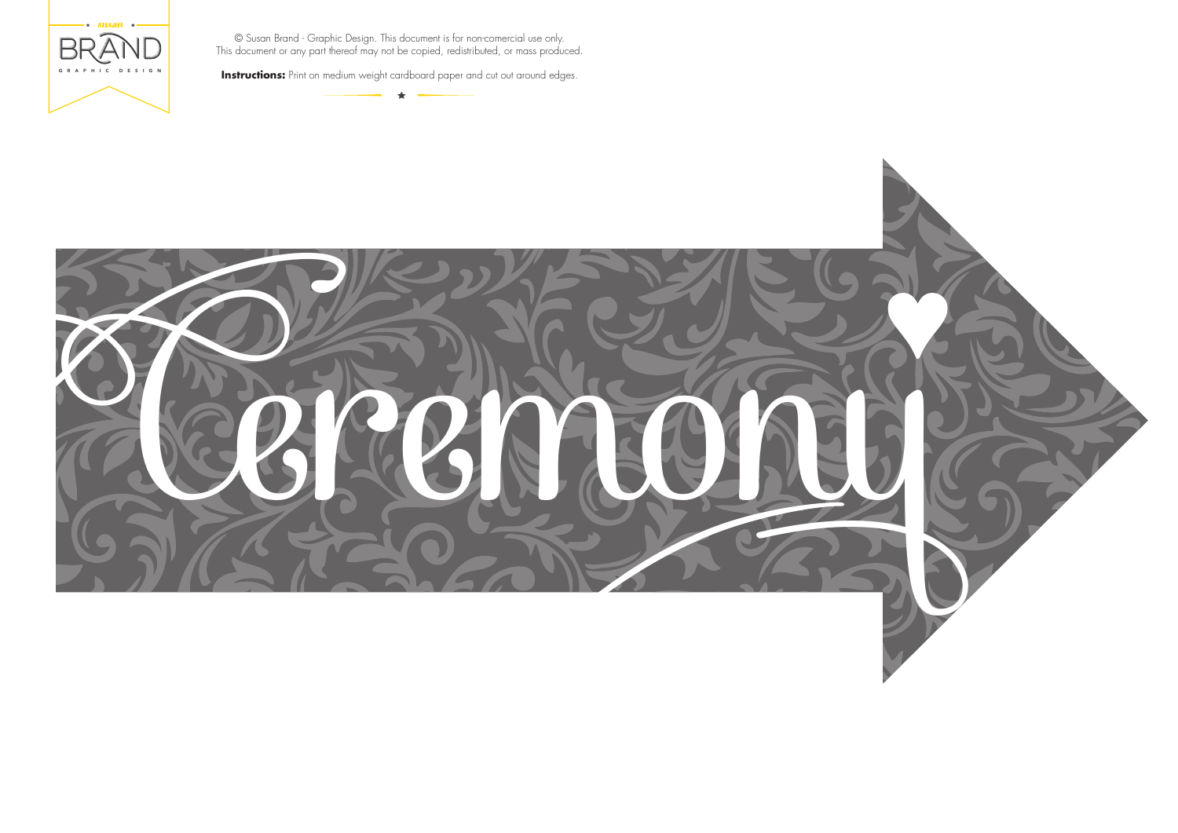



**Instructions:** Print on medium weight cardboard paper and cut out around edges.

 $\bigstar$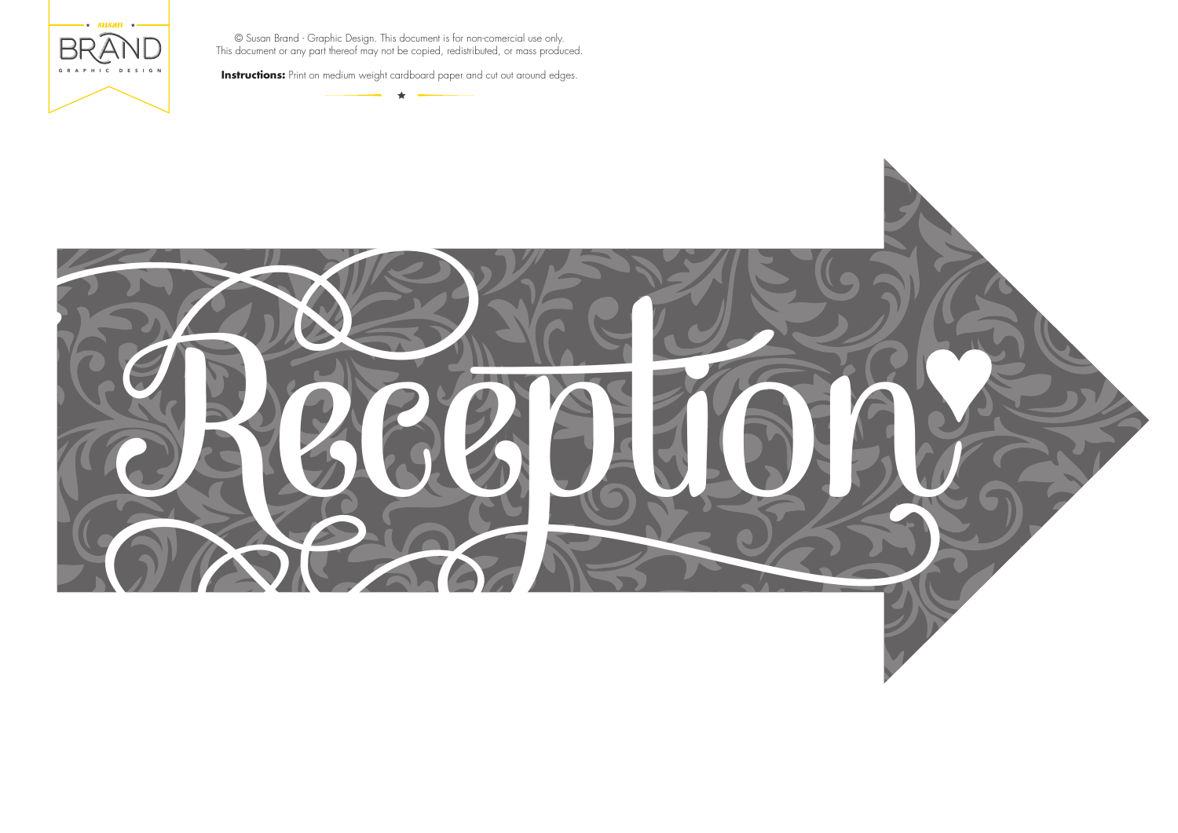



**Instructions:** Print on medium weight cardboard paper and cut out around edges.

 $\bigstar$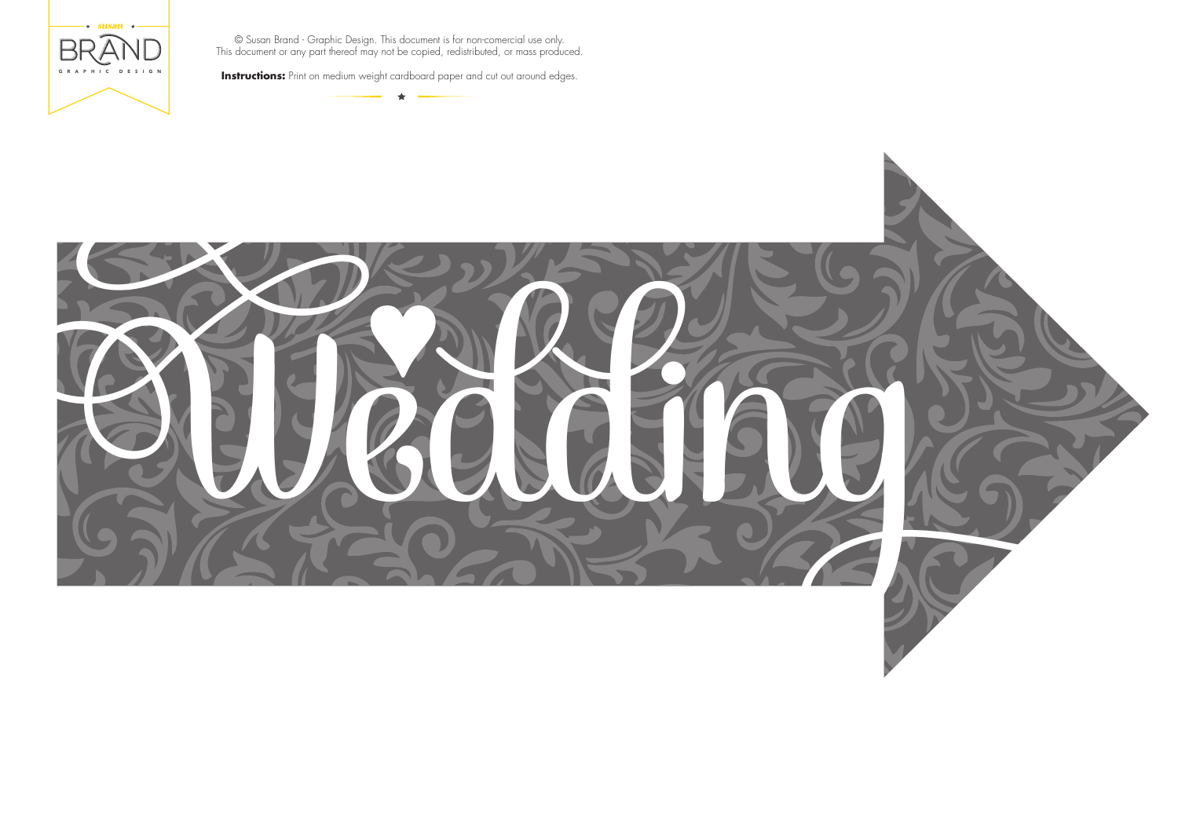





**Instructions:** Print on medium weight cardboard paper and cut out around edges.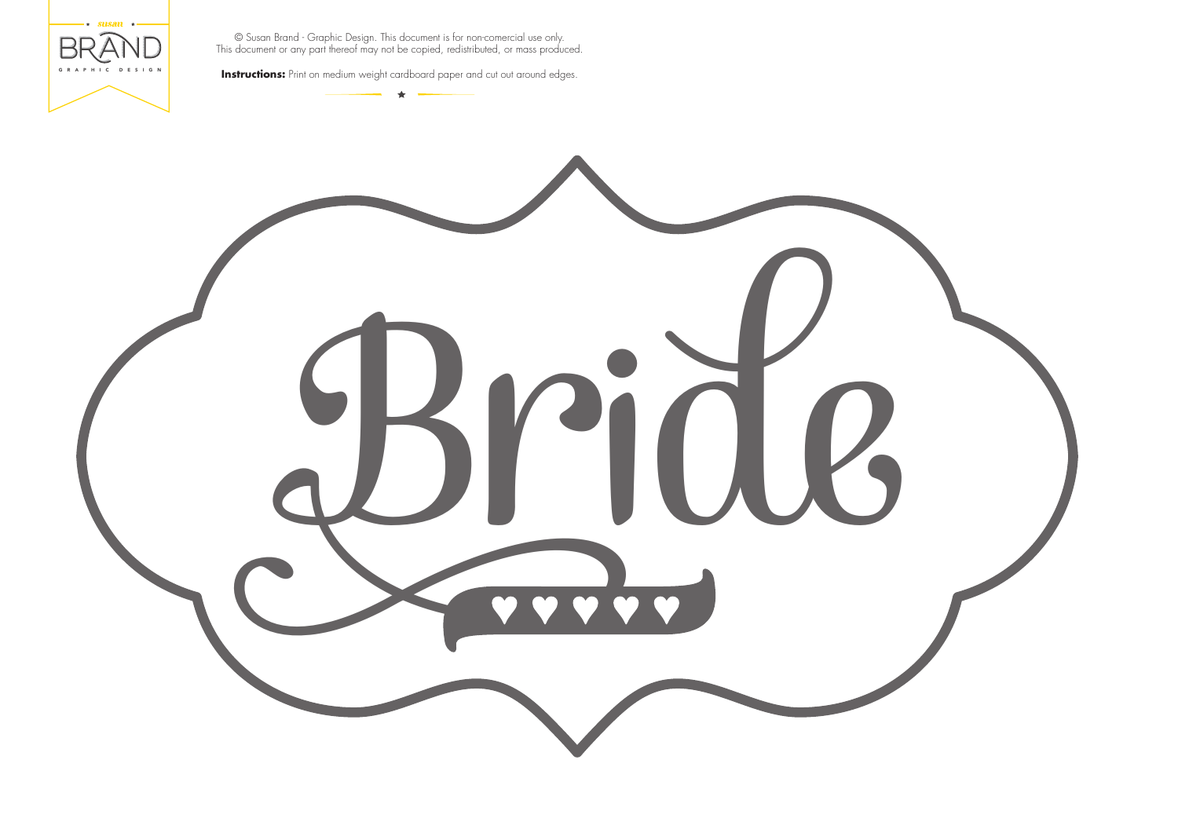

**Instructions:** Print on medium weight cardboard paper and cut out around edges.

## Bride

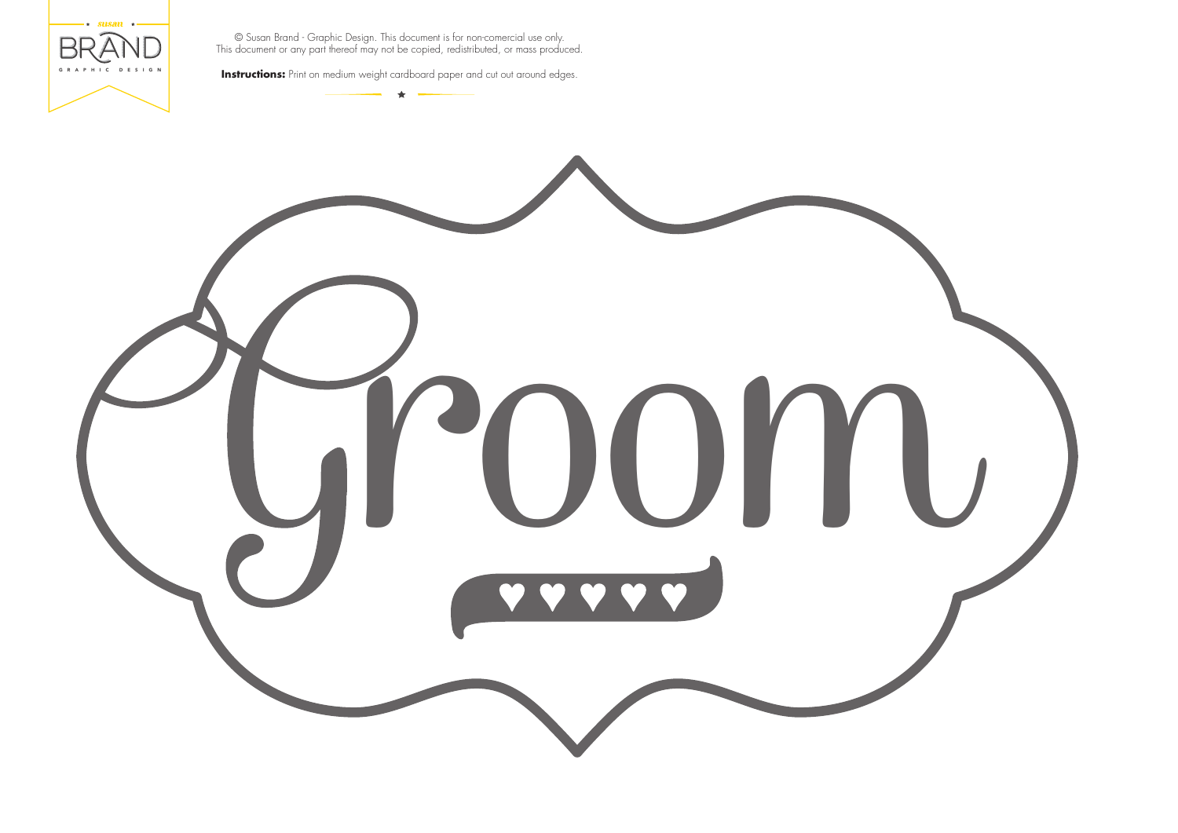

**Instructions:** Print on medium weight cardboard paper and cut out around edges.

## room

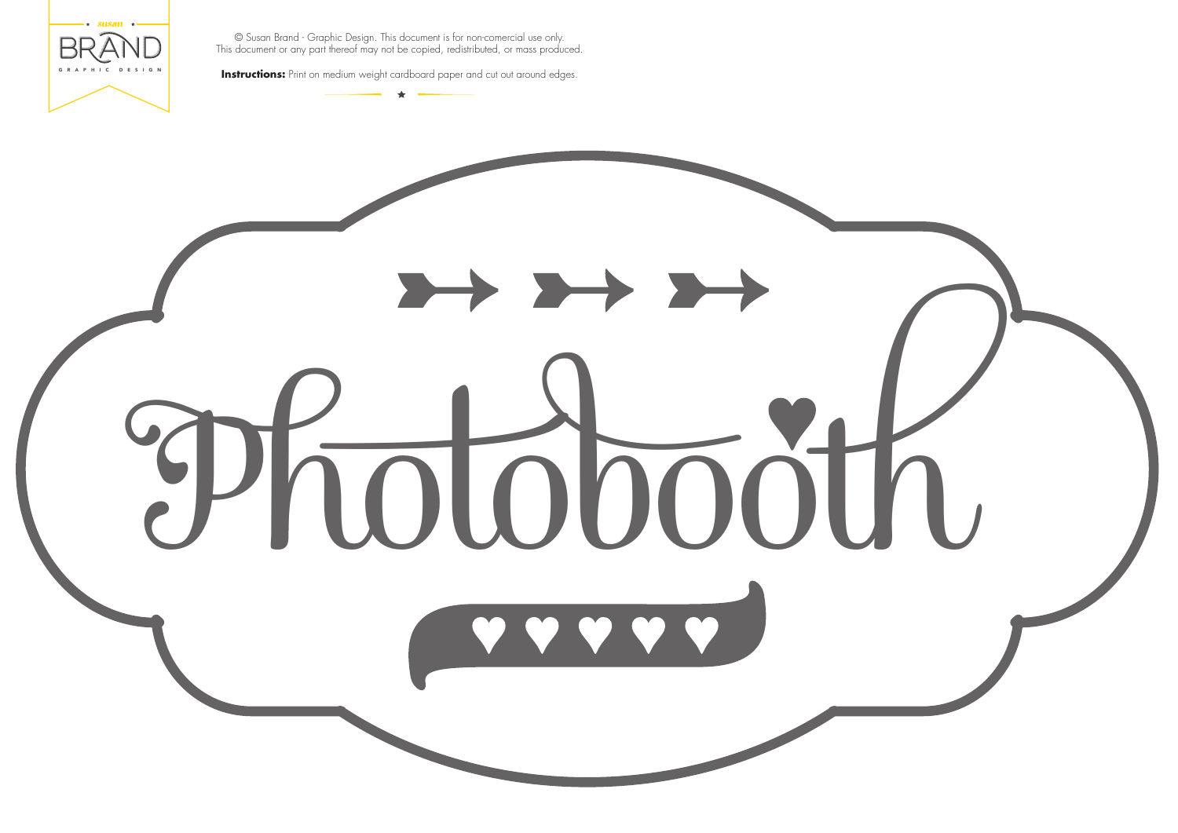

**Instructions:** Print on medium weight cardboard paper and cut out around edges.

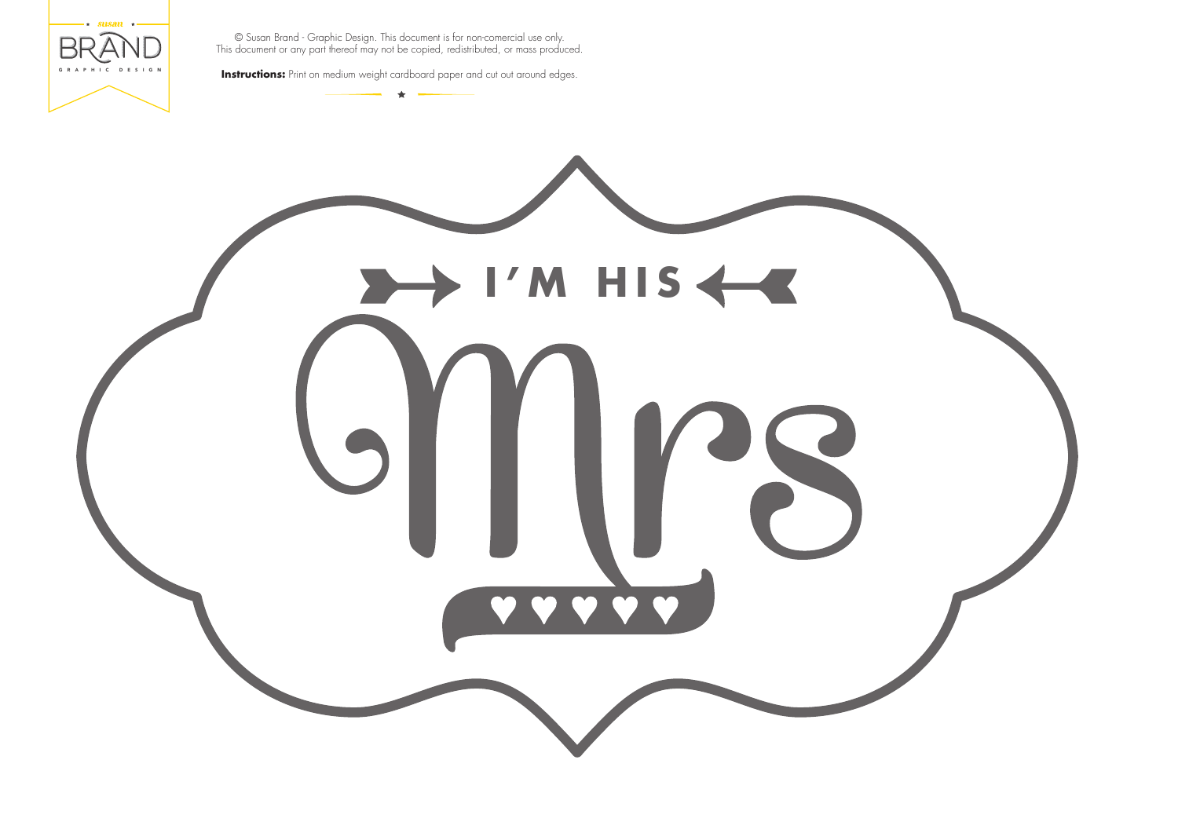

**Instructions:** Print on medium weight cardboard paper and cut out around edges.

## **I'M HIS**

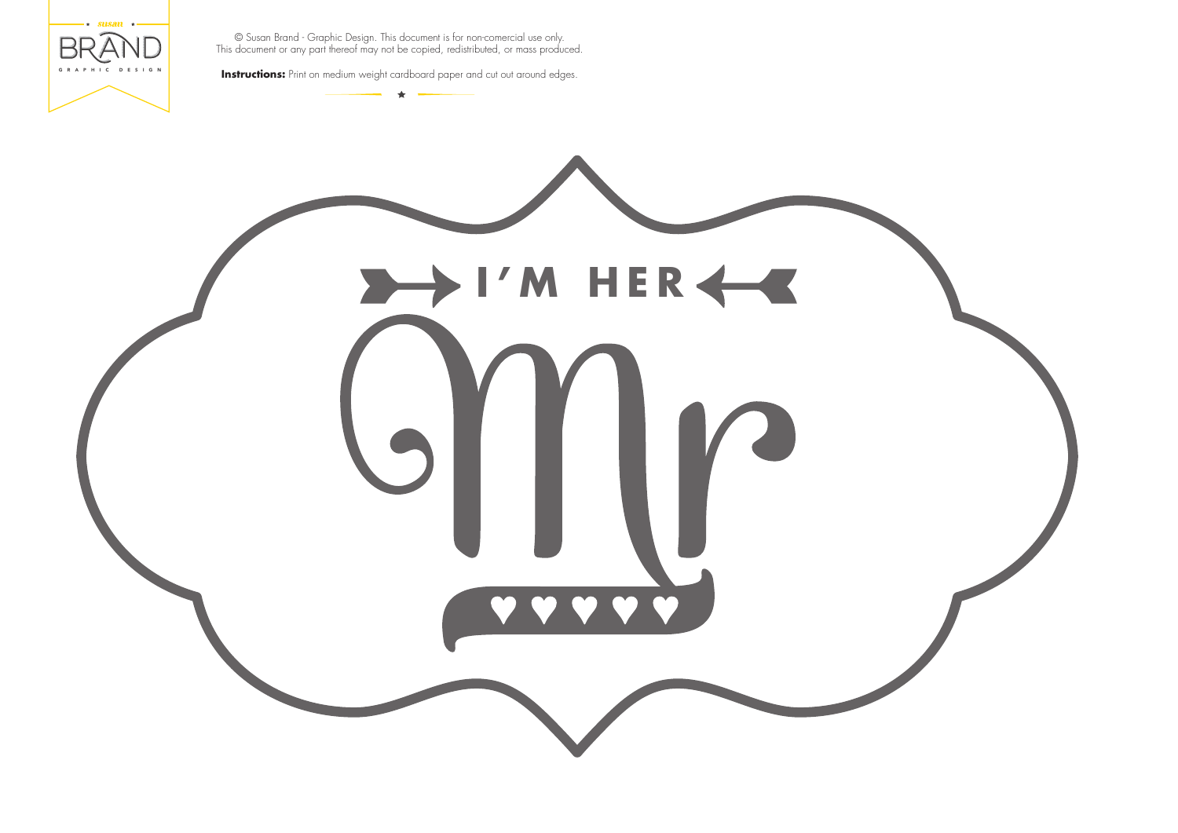

**Instructions:** Print on medium weight cardboard paper and cut out around edges.

## **I'M HER**